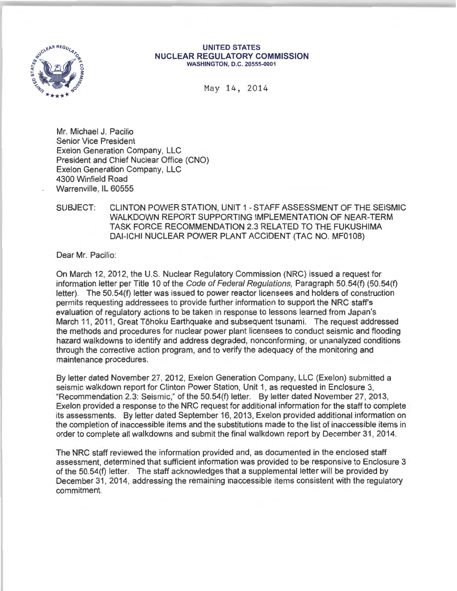

#### **UNITED STATES NUCLEAR REGULATORY COMMISSION**  WASHINGTON, D.C. 20555-0001

May 14, 2014

Mr. Michael J. Pacilio Senior Vice President Exelon Generation Company, LLC President and Chief Nuclear Office (CNO) Exelon Generation Company, LLC 4300 Winfield Road Warrenville, IL 60555

## SUBJECT: CLINTON POWER STATION, UNIT 1 -STAFF ASSESSMENT OF THE SEISMIC WALKDOWN REPORT SUPPORTING IMPLEMENTATION OF NEAR-TERM TASK FORCE RECOMMENDATION 2.3 RELATED TO THE FUKUSHIMA DAI-ICHI NUCLEAR POWER PLANT ACCIDENT (TAC NO. MF0108)

Dear Mr. Pacilio:

On March 12, 2012, the U.S. Nuclear Regulatory Commission (NRC) issued a request for information letter per Title 10 of the Code of Federal Regulations, Paragraph 50.54(f) (50.54(f) letter). The 50.54(f) letter was issued to power reactor licensees and holders of construction permits requesting addressees to provide further information to support the NRC staff's evaluation of regulatory actions to be taken in response to lessons learned from Japan's March 11, 2011, Great Tōhoku Earthquake and subsequent tsunami. The request addressed the methods and procedures for nuclear power plant licensees to conduct seismic and flooding hazard walkdowns to identify and address degraded, nonconforming, or unanalyzed conditions through the corrective action program, and to verify the adequacy of the monitoring and maintenance procedures.

By letter dated November 27, 2012, Exelon Generation Company, LLC (Exelon) submitted a seismic walkdown report for Clinton Power Station, Unit 1, as requested in Enclosure 3, "Recommendation 2.3: Seismic," of the 50.54(f) letter. By letter dated November 27, 2013, Exelon provided a response to the NRC request for additional information for the staff to complete its assessments. By letter dated September 16, 2013, Exelon provided additional information on the completion of inaccessible items and the substitutions made to the list of inaccessible items in order to complete all walkdowns and submit the final walkdown report by December 31 , 2014.

The NRC staff reviewed the information provided and, as documented in the enclosed staff assessment, determined that sufficient information was provided to be responsive to Enclosure 3 of the 50.54(f) letter. The staff acknowledges that a supplemental letter will be provided by December 31, 2014, addressing the remaining inaccessible items consistent with the regulatory commitment.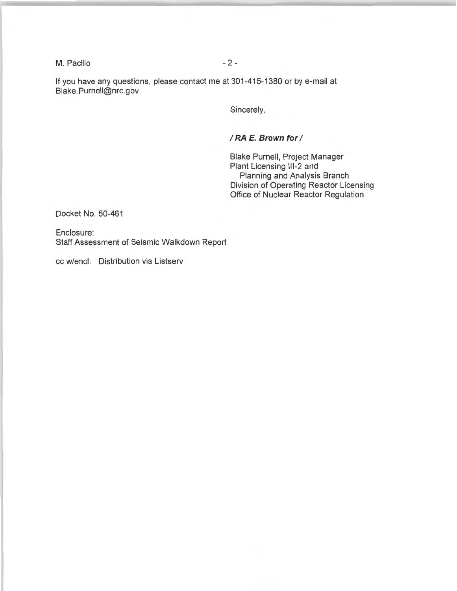M. Pacilio - 2 -

If you have any questions, please contact me at 301-415-1380 or by e-mail at Blake.Purnell@nrc.gov.

Sincerely,

## *IRA* **E. Brown for** *I*

Blake Purnell, Project Manager Plant Licensing 111-2 and Planning and Analysis Branch Division of Operating Reactor Licensing Office of Nuclear Reactor Regulation

Docket No. 50-461

Enclosure: Staff Assessment of Seismic Walkdown Report

cc w/encl: Distribution via Listserv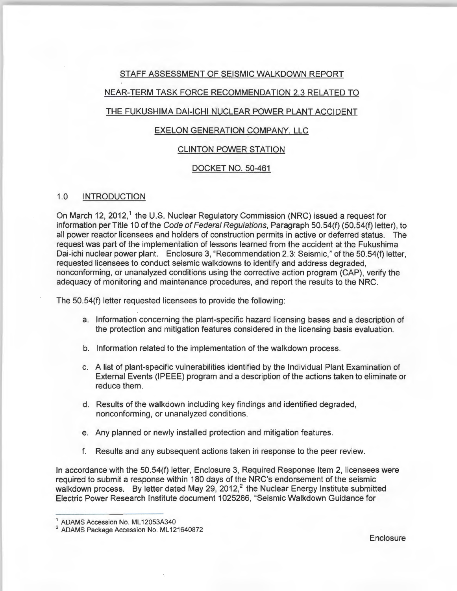## STAFF ASSESSMENT OF SEISMIC WALKDOWN REPORT

## NEAR-TERM TASK FORCE RECOMMENDATION 2.3 RELATED TO

### THE FUKUSHIMA DAI-ICHI NUCLEAR POWER PLANT ACCIDENT

## EXELON GENERATION COMPANY. LLC

### CLINTON POWER STATION

### DOCKET NO. 50-461

### 1.0 INTRODUCTION

On March 12, 2012,<sup>1</sup> the U.S. Nuclear Regulatory Commission (NRC) issued a request for information per Title 10 of the Code of Federal Regulations, Paragraph 50.54(f) (50.54(f) letter), to all power reactor licensees and holders of construction permits in active or deferred status. The request was part of the implementation of lessons learned from the accident at the Fukushima Dai-ichi nuclear power plant. Enclosure 3, "Recommendation 2.3: Seismic," of the 50.54(f) letter, requested licensees to conduct seismic walkdowns to identify and address degraded, nonconforming, or unanalyzed conditions using the corrective action program (CAP), verify the adequacy of monitoring and maintenance procedures, and report the results to the NRC.

The 50.54(f) letter requested licensees to provide the following :

- a. Information concerning the plant-specific hazard licensing bases and a description of the protection and mitigation features considered in the licensing basis evaluation.
- b. Information related to the implementation of the walkdown process.
- c. A list of plant-specific vulnerabilities identified by the Individual Plant Examination of External Events (IPEEE) program and a description of the actions taken to eliminate or reduce them.
- d. Results of the walkdown including key findings and identified degraded, nonconforming, or unanalyzed conditions.
- e. Any planned or newly installed protection and mitigation features.
- f. Results and any subsequent actions taken in response to the peer review.

In accordance with the 50.54(f) letter, Enclosure 3, Required Response Item 2, licensees were required to submit a response within 180 days of the NRC's endorsement of the seismic walkdown process. By letter dated May 29, 2012,<sup>2</sup> the Nuclear Energy Institute submitted Electric Power Research Institute document 1025286, "Seismic Walkdown Guidance for

**Enclosure** 

 $^1$  ADAMS Accession No. ML 12053A340<br>  $^2$  ADAMS Package Accession No. ML 121640872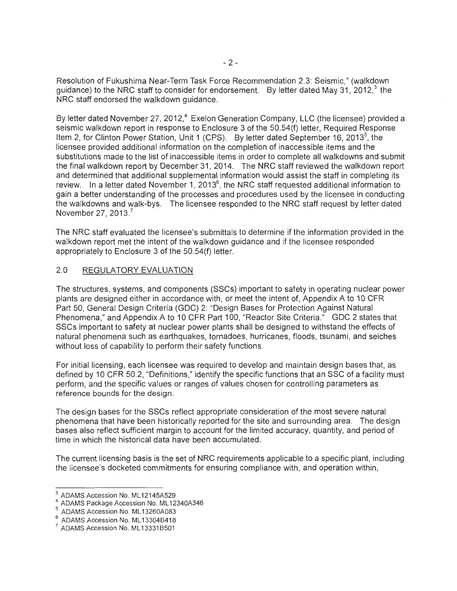Resolution of Fukushima Near-Term Task Force Recommendation 2.3: Seismic," (walkdown guidance) to the NRC staff to consider for endorsement. By letter dated May 31, 2012, $3$  the NRC staff endorsed the walkdown guidance.

By letter dated November 27, 2012,<sup>4</sup> Exelon Generation Company, LLC (the licensee) provided a seismic walkdown report in response to Enclosure 3 of the 50.54(f) letter, Required Response Item 2, for Clinton Power Station, Unit 1 (CPS). By letter dated September 16, 2013<sup>5</sup>, the licensee provided additional information on the completion of inaccessible items and the substitutions made to the list of inaccessible items in order to complete all walkdowns and submit the final walkdown report by December 31 , 2014. The NRC staff reviewed the walkdown report and determined that additional supplemental information would assist the staff in completing its review. In a letter dated November 1, 2013 $^{\rm 6}$ , the NRC staff requested additional information to gain a better understanding of the processes and procedures used by the licensee in conducting the walkdowns and walk-bys . The licensee responded to the NRC staff request by letter dated November 27, 2013.<sup>7</sup>

The NRC staff evaluated the licensee's submittals to determine if the information provided in the walkdown report met the intent of the walkdown guidance and if the licensee responded appropriately to Enclosure 3 of the 50.54(f) letter.

## 2.0 REGULATORY EVALUATION

The structures, systems, and components (SSCs) important to safety in operating nuclear power plants are designed either in accordance with, or meet the intent of, Appendix A to 10 CFR Part 50, General Design Criteria (GDC) 2: "Design Bases for Protection Against Natural Phenomena," and Appendix A to 10 CFR Part 100, "Reactor Site Criteria." GDC 2 states that SSCs important to safety at nuclear power plants shall be designed to withstand the effects of natural phenomena such as earthquakes, tornadoes, hurricanes, floods, tsunami, and seiches without loss of capability to perform their safety functions.

For initial licensing, each licensee was required to develop and maintain design bases that, as defined by 10 CFR 50.2, "Definitions," identify the specific functions that an SSC of a facility must perform, and the specific values or ranges of values chosen for controlling parameters as reference bounds for the design.

The design bases for the SSCs reflect appropriate consideration of the most severe natural phenomena that have been historically reported for the site and surrounding area. The design bases also reflect sufficient margin to account for the limited accuracy, quantity, and period of time in which the historical data have been accumulated.

The current licensing basis is the set of NRC requirements applicable to a specific plant, including the licensee's docketed commitments for ensuring compliance with, and operation within,

 $^3$  ADAMS Accession No. ML12145A529<br> $^4$  ADAMS Package Accession No. ML12340A346

<sup>&</sup>lt;sup>5</sup> ADAMS Accession No. ML13260A083

<sup>&</sup>lt;sup>6</sup> ADAMS Accession No. ML 13304B418<br><sup>7</sup> ADAMS Accession No. ML 13331 B501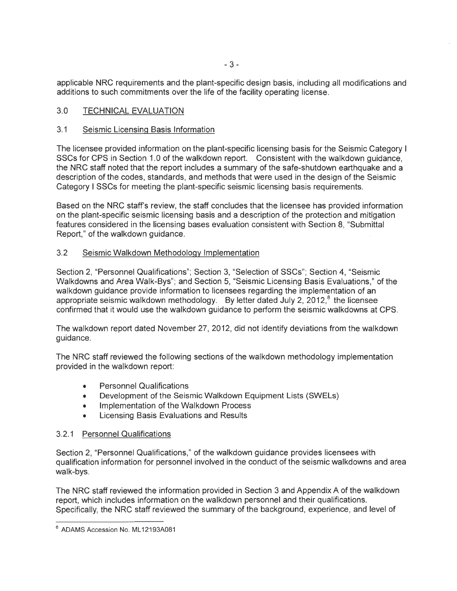applicable NRC requirements and the plant-specific design basis, including all modifications and additions to such commitments over the life of the facility operating license.

## 3.0 TECHNICAL EVALUATION

## 3.1 Seismic Licensing Basis Information

The licensee provided information on the plant-specific licensing basis for the Seismic Category I SSCs for CPS in Section 1.0 of the walkdown report. Consistent with the walkdown guidance, the NRC staff noted that the report includes a summary of the safe-shutdown earthquake and a description of the codes, standards, and methods that were used in the design of the Seismic Category I SSCs for meeting the plant-specific seismic licensing basis requirements.

Based on the NRC staff's review, the staff concludes that the licensee has provided information on the plant-specific seismic licensing basis and a description of the protection and mitigation features considered in the licensing bases evaluation consistent with Section 8, "Submittal Report," of the walkdown guidance.

## 3.2 Seismic Walkdown Methodology Implementation

Section 2, "Personnel Qualifications"; Section 3, "Selection of SSCs"; Section 4, "Seismic Walkdowns and Area Walk-Bys"; and Section 5, "Seismic Licensing Basis Evaluations," of the walkdown guidance provide information to licensees regarding the implementation of an appropriate seismic walkdown methodology. By letter dated July 2, 2012, $^8$  the licensee confirmed that it would use the walkdown guidance to perform the seismic walkdowns at CPS.

The walkdown report dated November 27, 2012, did not identify deviations from the walkdown guidance.

The NRC staff reviewed the following sections of the walkdown methodology implementation provided in the walkdown report:

- Personnel Qualifications
- Development of the Seismic Walkdown Equipment Lists (SWELs)
- Implementation of the Walkdown Process
- Licensing Basis Evaluations and Results

### 3.2.1 Personnel Qualifications

Section 2, "Personnel Qualifications," of the walkdown guidance provides licensees with qualification information for personnel involved in the conduct of the seismic walkdowns and area walk-bys.

The NRC staff reviewed the information provided in Section 3 and Appendix A of the walkdown report, which includes information on the walkdown personnel and their qualifications. Specifically, the NRC staff reviewed the summary of the background, experience, and level of

<sup>&</sup>lt;sup>8</sup> ADAMS Accession No. ML12193A081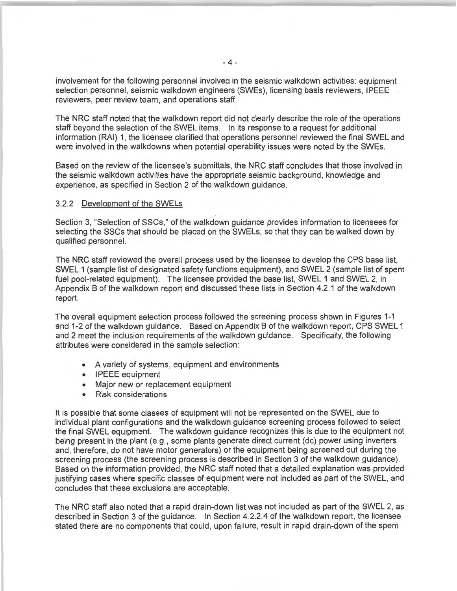involvement for the following personnel involved in the seismic walkdown activities: equipment selection personnel, seismic walkdown engineers (SWEs), licensing basis reviewers, IPEEE reviewers, peer review team, and operations staff.

The NRC staff noted that the walkdown report did not clearly describe the role of the operations staff beyond the selection of the SWEL items. In its response to a request for additional information (RAI) 1, the licensee clarified that operations personnel reviewed the final SWEL and were involved in the walkdowns when potential operability issues were noted by the SWEs.

Based on the review of the licensee's submittals, the NRC staff concludes that those involved in the seismic walkdown activities have the appropriate seismic background, knowledge and experience, as specified in Section 2 of the walkdown guidance.

#### 3.2.2 Development of the SWELs

Section 3, "Selection of SSCs," of the walkdown guidance provides information to licensees for selecting the SSCs that should be placed on the SWELs, so that they can be walked down by qualified personnel.

The NRC staff reviewed the overall process used by the licensee to develop the CPS base list, SWEL 1 (sample list of designated safety functions equipment), and SWEL 2 (sample list of spent fuel pool-related equipment). The licensee provided the base list, SWEL 1 and SWEL 2, in Appendix B of the walkdown report and discussed these lists in Section 4.2.1 of the walkdown report.

The overall equipment selection process followed the screening process shown in Figures 1-1 and 1-2 of the walkdown guidance. Based on Appendix B of the walkdown report, CPS SWEL 1 and 2 meet the inclusion requirements of the walkdown guidance. Specifically, the following attributes were considered in the sample selection:

- A variety of systems, equipment and environments
- IPEEE equipment
- Major new or replacement equipment
- Risk considerations

It is possible that some classes of equipment will not be represented on the SWEL due to individual plant configurations and the walkdown guidance screening process followed to select the final SWEL equipment. The walkdown guidance recognizes this is due to the equipment not being present in the plant (e.g., some plants generate direct current (de) power using inverters and, therefore, do not have motor generators) or the equipment being screened out during the screening process (the screening process is described in Section 3 of the walkdown guidance). Based on the information provided, the NRC staff noted that a detailed explanation was provided justifying cases where specific classes of equipment were not included as part of the SWEL, and concludes that these exclusions are acceptable.

The NRC staff also noted that a rapid drain-down list was not included as part of the SWEL 2, as described in Section 3 of the guidance. In Section 4.2.2.4 of the walkdown report, the licensee stated there are no components that could, upon failure, result in rapid drain-down of the spent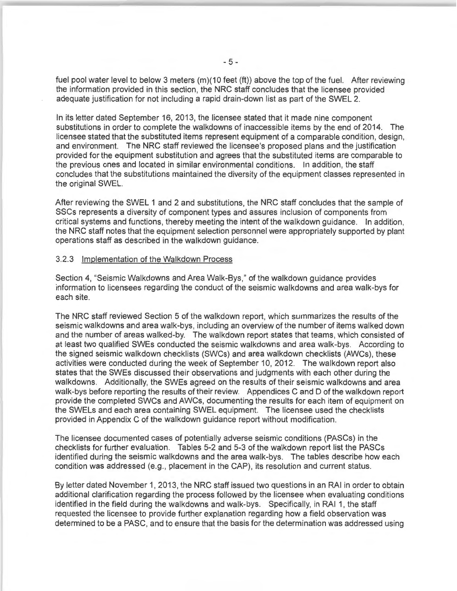fuel pool water level to below 3 meters  $(m)(10 \text{ feet (ft)})$  above the top of the fuel. After reviewing the information provided in this section, the NRC staff concludes that the licensee provided adequate justification for not including a rapid drain-down list as part of the SWEL 2.

In its letter dated September 16, 2013, the licensee stated that it made nine component substitutions in order to complete the walkdowns of inaccessible items by the end of 2014. The licensee stated that the substituted items represent equipment of a comparable condition, design, and environment. The NRC staff reviewed the licensee's proposed plans and the justification provided for the equipment substitution and agrees that the substituted items are comparable to the previous ones and located in similar environmental conditions. In addition, the staff concludes that the substitutions maintained the diversity of the equipment classes represented in the original SWEL.

After reviewing the SWEL 1 and 2 and substitutions, the NRC staff concludes that the sample of SSCs represents a diversity of component types and assures inclusion of components from critical systems and functions, thereby meeting the intent of the walkdown guidance. In addition, the NRC staff notes that the equipment selection personnel were appropriately supported by plant operations staff as described in the walkdown guidance.

### 3.2.3 Implementation of the Walkdown Process

Section 4, "Seismic Walkdowns and Area Walk-Bys," of the walkdown guidance provides information to licensees regarding the conduct of the seismic walkdowns and area walk-bys for each site.

The NRC staff reviewed Section 5 of the walkdown report, which summarizes the results of the seismic walkdowns and area walk-bys, including an overview of the number of items walked down and the number of areas walked-by. The walkdown report states that teams, which consisted of at least two qualified SWEs conducted the seismic walkdowns and area walk-bys. According to the signed seismic walkdown checklists (SWCs) and area walkdown checklists (AWCs), these activities were conducted during the week of September 10, 2012. The walkdown report also states that the SWEs discussed their observations and judgments with each other during the walkdowns. Additionally, the SWEs agreed on the results of their seismic walkdowns and area walk-bys before reporting the results of their review. Appendices C and D of the walkdown report provide the completed SWCs and AWCs, documenting the results for each item of equipment on the SWELs and each area containing SWEL equipment. The licensee used the checklists provided in Appendix C of the walkdown guidance report without modification.

The licensee documented cases of potentially adverse seismic conditions (PASCs) in the checklists for further evaluation. Tables 5-2 and 5-3 of the walkdown report list the PASCs identified during the seismic walkdowns and the area walk-bys. The tables describe how each condition was addressed (e.g., placement in the CAP), its resolution and current status.

By letter dated November 1, 2013, the NRC staff issued two questions in an RAI in order to obtain additional clarification regarding the process followed by the licensee when evaluating conditions identified in the field during the walkdowns and walk-bys. Specifically, in RAI 1, the staff requested the licensee to provide further explanation regarding how a field observation was determined to be a PASC, and to ensure that the basis for the determination was addressed using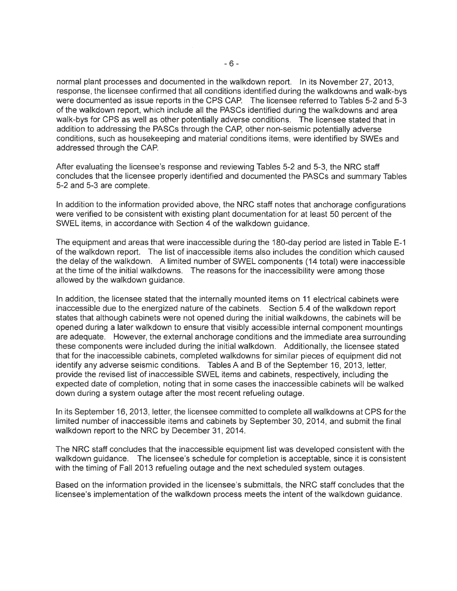normal plant processes and documented in the walkdown report. In its November 27, 2013, response, the licensee confirmed that all conditions identified during the walkdowns and walk-bys were documented as issue reports in the CPS CAP. The licensee referred to Tables 5-2 and 5-3 of the walkdown report, which include all the PASCs identified during the walkdowns and area walk-bys for CPS as well as other potentially adverse conditions. The licensee stated that in addition to addressing the PASCs through the CAP, other non-seismic potentially adverse conditions, such as housekeeping and material conditions items, were identified by SWEs and addressed through the CAP.

After evaluating the licensee's response and reviewing Tables 5-2 and 5-3, the NRC staff concludes that the licensee properly identified and documented the PASCs and summary Tables 5-2 and 5-3 are complete.

In addition to the information provided above, the NRC staff notes that anchorage configurations were verified to be consistent with existing plant documentation for at least 50 percent of the SWEL items, in accordance with Section 4 of the walkdown guidance.

The equipment and areas that were inaccessible during the 180-day period are listed in Table E-1 of the walkdown report. The list of inaccessible items also includes the condition which caused the delay of the walkdown. A limited number of SWEL components (14 total) were inaccessible at the time of the initial walkdowns. The reasons for the inaccessibility were among those allowed by the walkdown guidance.

In addition, the licensee stated that the internally mounted items on 11 electrical cabinets were inaccessible due to the energized nature of the cabinets. Section 5.4 of the walkdown report states that although cabinets were not opened during the initial walkdowns, the cabinets will be opened during a later walkdown to ensure that visibly accessible internal component mountings are adequate. However, the external anchorage conditions and the immediate area surrounding these components were included during the initial walkdown. Additionally, the licensee stated that for the inaccessible cabinets, completed walkdowns for similar pieces of equipment did not identify any adverse seismic conditions. Tables A and 8 of the September 16, 2013, letter, provide the revised list of inaccessible SWEL items and cabinets, respectively, including the expected date of completion, noting that in some cases the inaccessible cabinets will be walked down during a system outage after the most recent refueling outage.

In its September 16, 2013, letter, the licensee committed to complete all walkdowns at CPS for the limited number of inaccessible items and cabinets by September 30, 2014, and submit the final walkdown report to the NRC by December 31, 2014.

The NRC staff concludes that the inaccessible equipment list was developed consistent with the walkdown guidance. The licensee's schedule for completion is acceptable, since it is consistent with the timing of Fall 2013 refueling outage and the next scheduled system outages.

Based on the information provided in the licensee's submittals, the NRC staff concludes that the licensee's implementation of the walkdown process meets the intent of the walkdown guidance.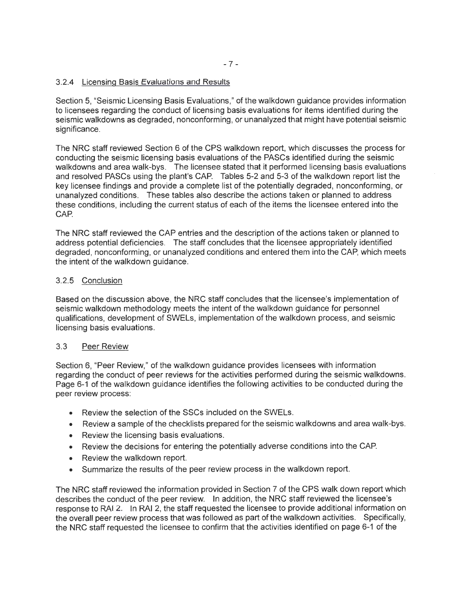## 3.2.4 Licensing Basis Evaluations and Results

Section 5, "Seismic Licensing Basis Evaluations," of the walkdown guidance provides information to licensees regarding the conduct of licensing basis evaluations for items identified during the seismic walkdowns as degraded, nonconforming, or unanalyzed that might have potential seismic significance.

The NRC staff reviewed Section 6 of the CPS walkdown report; which discusses the process for conducting the seismic licensing basis evaluations of the PASCs identified during the seismic walkdowns and area walk-bys. The licensee stated that it performed licensing basis evaluations and resolved PASCs using the plant's CAP. Tables 5-2 and 5-3 of the walkdown report list the key licensee findings and provide a complete list of the potentially degraded, nonconforming, or unanalyzed conditions. These tables also describe the actions taken or planned to address these conditions, including the current status of each of the items the licensee entered into the CAP.

The NRC staff reviewed the CAP entries and the description of the actions taken or planned to address potential deficiencies. The staff concludes that the licensee appropriately identified degraded, nonconforming, or unanalyzed conditions and entered them into the CAP, which meets the intent of the walkdown guidance.

### 3.2.5 Conclusion

Based on the discussion above, the NRC staff concludes that the licensee's implementation of seismic walkdown methodology meets the intent of the walkdown guidance for personnel qualifications, development of SWELs, implementation of the walkdown process, and seismic licensing basis evaluations.

### 3.3 Peer Review

Section 6, "Peer Review," of the walkdown guidance provides licensees with information regarding the conduct of peer reviews for the activities performed during the seismic walkdowns. Page 6-1 of the walkdown guidance identifies the following activities to be conducted during the peer review process:

- Review the selection of the SSCs included on the SWELs.
- Review a sample of the checklists prepared for the seismic walkdowns and area walk-bys.
- Review the licensing basis evaluations.
- Review the decisions for entering the potentially adverse conditions into the CAP.
- Review the walkdown report.
- Summarize the results of the peer review process in the walkdown report.

The NRC staff reviewed the information provided in Section 7 of the CPS walk down report which describes the conduct of the peer review. In addition, the NRC staff reviewed the licensee's response to RAI 2. In RAI 2, the staff requested the licensee to provide additional information on the overall peer review process that was followed as part of the walkdown activities. Specifically, the NRC staff requested the licensee to confirm that the activities identified on page 6-1 of the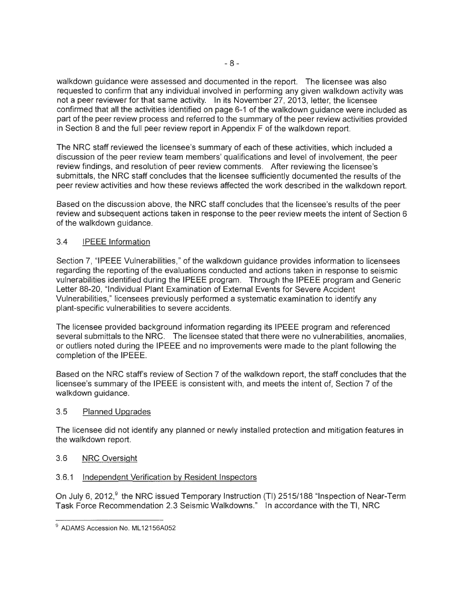walkdown guidance were assessed and documented in the report. The licensee was also requested to confirm that any individual involved in performing any given walkdown activity was not a peer reviewer for that same activity. In its November 27, 2013, letter, the licensee confirmed that all the activities identified on page 6-1 of the walkdown guidance were included as part of the peer review process and referred to the summary of the peer review activities provided in Section 8 and the full peer review report in Appendix F of the walkdown report.

The NRC staff reviewed the licensee's summary of each of these activities, which included a discussion of the peer review team members' qualifications and level of involvement, the peer review findings, and resolution of peer review comments. After reviewing the licensee's submittals, the NRC staff concludes that the licensee sufficiently documented the results of the peer review activities and how these reviews affected the work described in the walkdown report.

Based on the discussion above, the NRC staff concludes that the licensee's results of the peer review and subsequent actions taken in response to the peer review meets the intent of Section 6 of the walkdown guidance.

## 3.4 IPEEE Information

Section 7, "IPEEE Vulnerabilities," of the walkdown guidance provides information to licensees regarding the reporting of the evaluations conducted and actions taken in response to seismic vulnerabilities identified during the IPEEE program. Through the IPEEE program and Generic Letter 88-20, "Individual Plant Examination of External Events for Severe Accident Vulnerabilities," licensees previously performed a systematic examination to identify any plant-specific vulnerabilities to severe accidents.

The licensee provided background information regarding its IPEEE program and referenced several submittals to the NRC. The licensee stated that there were no vulnerabilities, anomalies, or outliers noted during the IPEEE and no improvements were made to the plant following the completion of the IPEEE.

Based on the NRC staff's review of Section 7 of the walkdown report, the staff concludes that the licensee's summary of the IPEEE is consistent with, and meets the intent of, Section 7 of the walkdown guidance.

## 3.5 Planned Upgrades

The licensee did not identify any planned or newly installed protection and mitigation features in the walkdown report.

# 3.6 NRC Oversight

# 3.6.1 Independent Verification by Resident Inspectors

On July 6, 2012,<sup>9</sup> the NRC issued Temporary Instruction (TI) 2515/188 "Inspection of Near-Term Task Force Recommendation 2.3 Seismic Walkdowns." In accordance with the TI, NRC

<sup>&</sup>lt;sup>9</sup> ADAMS Accession No. ML12156A052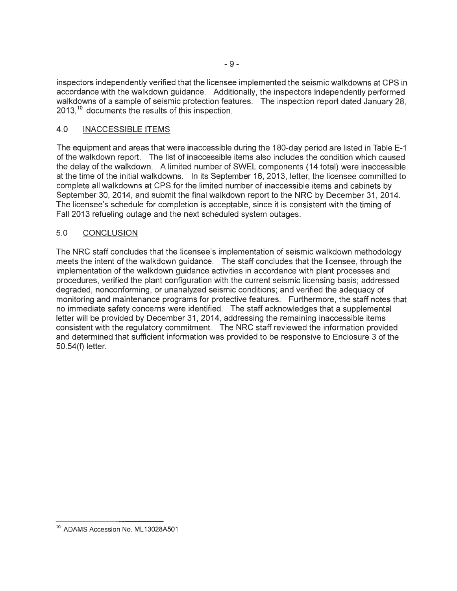inspectors independently verified that the licensee implemented the seismic walkdowns at CPS in accordance with the walkdown guidance. Additionally, the inspectors independently performed walkdowns of a sample of seismic protection features. The inspection report dated January 28,  $2013$ ,<sup>10</sup> documents the results of this inspection.

## 4.0 INACCESSIBLE ITEMS

The equipment and areas that were inaccessible during the 180-day period are listed in Table E-1 of the walkdown report. The list of inaccessible items also includes the condition which caused the delay of the walkdown. A limited number of SWEL components (14 total) were inaccessible at the time of the initial walkdowns. In its September 16, 2013, letter, the licensee committed to complete all walkdowns at CPS for the limited number of inaccessible items and cabinets by September 30, 2014, and submit the final walkdown report to the NRC by December 31, 2014. The licensee's schedule for completion is acceptable, since it is consistent with the timing of Fall 2013 refueling outage and the next scheduled system outages.

## 5.0 CONCLUSION

The NRC staff concludes that the licensee's implementation of seismic walkdown methodology meets the intent of the walkdown guidance. The staff concludes that the licensee, through the implementation of the walkdown guidance activities in accordance with plant processes and procedures, verified the plant configuration with the current seismic licensing basis; addressed degraded, nonconforming, or unanalyzed seismic conditions; and verified the adequacy of monitoring and maintenance programs for protective features. Furthermore, the staff notes that no immediate safety concerns were identified. The staff acknowledges that a supplemental letter will be provided by December 31 , 2014, addressing the remaining inaccessible items consistent with the regulatory commitment. The NRC staff reviewed the information provided and determined that sufficient information was provided to be responsive to Enclosure 3 of the 50.54(f) letter.

<sup>&</sup>lt;sup>10</sup> ADAMS Accession No. ML13028A501